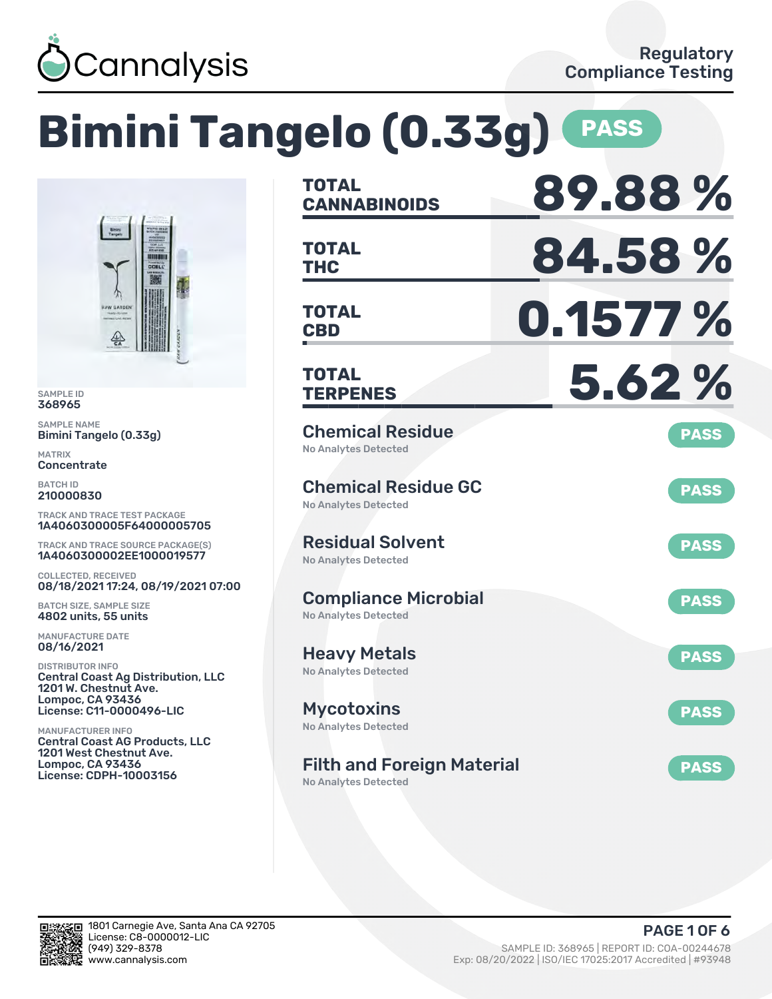

## **Bimini Tangelo (0.33g) PASS TOTAL CANNABINOIDS 89.88 % TOTAL THC 84.58 % TOTAL CBD 0.1577 % TOTAL TERPENES 5.62 %** Chemical Residue No Analytes Detected **PASS** Chemical Residue GC No Analytes Detected **PASS** Residual Solvent No Analytes Detected **PASS** Compliance Microbial No Analytes Detected **PASS** Heavy Metals No Analytes Detected **PASS** Mycotoxins No Analytes Detected **PASS** Filth and Foreign Material No Analytes Detected **PASS** TRACK AND TRACE TEST PACKAGE 1A4060300005F64000005705 TRACK AND TRACE SOURCE PACKAGE(S) 1A4060300002EE1000019577 08/18/2021 17:24, 08/19/2021 07:00 Central Coast Ag Distribution, LLC License: C11-0000496-LIC Central Coast AG Products, LLC

SAMPLE ID 368965 SAMPLE NAME

MATRIX **Concentrate** BATCH ID 210000830

Bimini Tangelo (0.33g)

COLLECTED, RECEIVED

BATCH SIZE, SAMPLE SIZE 4802 units, 55 units MANUFACTURE DATE 08/16/2021 DISTRIBUTOR INFO

1201 W. Chestnut Ave. Lompoc, CA 93436

1201 West Chestnut Ave. Lompoc, CA 93436 License: CDPH-10003156

MANUFACTURER INFO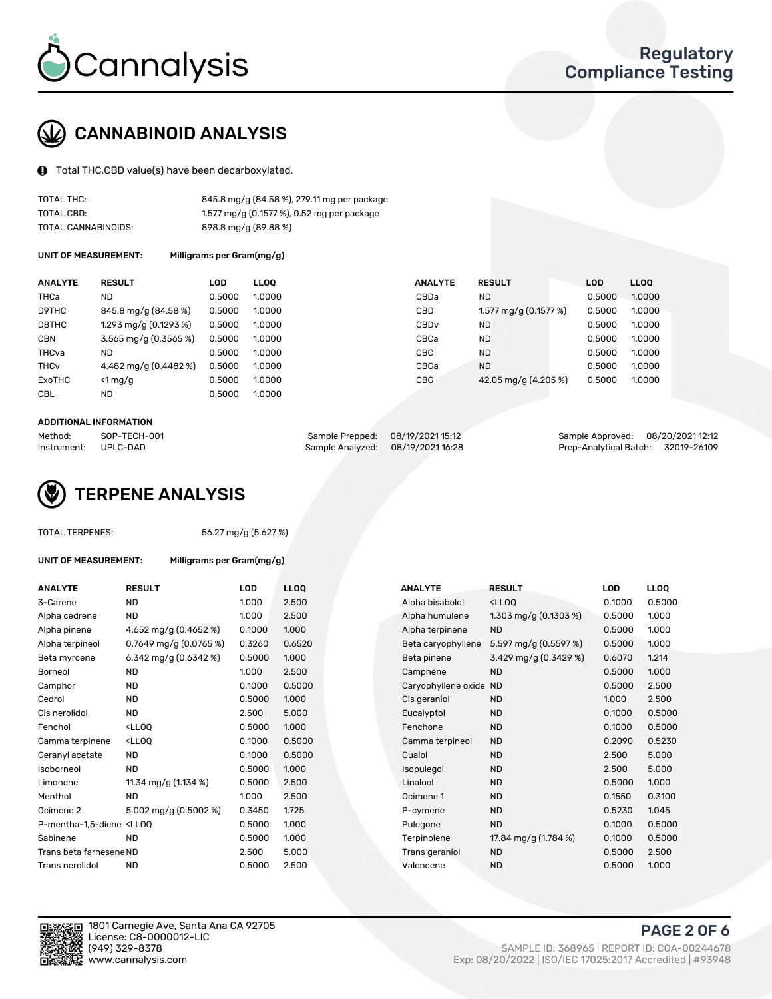

# CANNABINOID ANALYSIS

Total THC,CBD value(s) have been decarboxylated.

| TOTAL THC:          | 845.8 mg/g (84.58 %), 279.11 mg per package |
|---------------------|---------------------------------------------|
| TOTAL CBD:          | 1.577 mg/g (0.1577 %), 0.52 mg per package  |
| TOTAL CANNABINOIDS: | 898.8 mg/g (89.88 %)                        |

UNIT OF MEASUREMENT: Milligrams per Gram(mg/g)

| <b>ANALYTE</b>         | <b>RESULT</b>           | LOD    | <b>LLOO</b> | <b>ANALYTE</b>   | <b>RESULT</b>         | <b>LOD</b> | LL <sub>00</sub> |
|------------------------|-------------------------|--------|-------------|------------------|-----------------------|------------|------------------|
| THCa                   | <b>ND</b>               | 0.5000 | 1.0000      | CBDa             | <b>ND</b>             | 0.5000     | 1.0000           |
| D9THC                  | 845.8 mg/g (84.58 %)    | 0.5000 | 1.0000      | CBD              | 1.577 mg/g (0.1577 %) | 0.5000     | 1.0000           |
| D8THC                  | 1.293 mg/g $(0.1293\%)$ | 0.5000 | 1.0000      | CBD <sub>v</sub> | <b>ND</b>             | 0.5000     | 1.0000           |
| <b>CBN</b>             | 3.565 mg/g (0.3565 %)   | 0.5000 | 1.0000      | CBCa             | <b>ND</b>             | 0.5000     | 1.0000           |
| THCva                  | <b>ND</b>               | 0.5000 | 1.0000      | <b>CBC</b>       | <b>ND</b>             | 0.5000     | 1.0000           |
| <b>THC<sub>v</sub></b> | 4.482 mg/g (0.4482 %)   | 0.5000 | 1.0000      | CBGa             | <b>ND</b>             | 0.5000     | 1.0000           |
| ExoTHC                 | $<$ 1 mg/g              | 0.5000 | 1.0000      | <b>CBG</b>       | 42.05 mg/g (4.205 %)  | 0.5000     | 1.0000           |
| <b>CBL</b>             | <b>ND</b>               | 0.5000 | 1.0000      |                  |                       |            |                  |
|                        |                         |        |             |                  |                       |            |                  |

#### ADDITIONAL INFORMATION

| Method:     | SOP-TECH-001 | Sample Prepped: 08/19/2021 15:12 | Sample Approved: 08/20/2021 12:12  |  |
|-------------|--------------|----------------------------------|------------------------------------|--|
| Instrument: | UPLC-DAD     | Sample Analyzed: 08/19/202116:28 | Prep-Analytical Batch: 32019-26109 |  |



### TOTAL TERPENES: 56.27 mg/g (5.627 %)

| ANALYTE                                                                                                                                        | <b>RESULT</b>                                                                                                              | <b>LOD</b> | <b>LLOQ</b> | <b>ANALYTE</b>         | <b>RESULT</b>                                      | <b>LOD</b> | <b>LLOQ</b> |
|------------------------------------------------------------------------------------------------------------------------------------------------|----------------------------------------------------------------------------------------------------------------------------|------------|-------------|------------------------|----------------------------------------------------|------------|-------------|
| 3-Carene                                                                                                                                       | <b>ND</b>                                                                                                                  | 1.000      | 2.500       | Alpha bisabolol        | <lloq< td=""><td>0.1000</td><td>0.500</td></lloq<> | 0.1000     | 0.500       |
| Alpha cedrene                                                                                                                                  | <b>ND</b>                                                                                                                  | 1.000      | 2.500       | Alpha humulene         | 1.303 mg/g $(0.1303\%)$                            | 0.5000     | 1.000       |
| Alpha pinene                                                                                                                                   | 4.652 mg/g (0.4652 %)                                                                                                      | 0.1000     | 1.000       | Alpha terpinene        | <b>ND</b>                                          | 0.5000     | 1.000       |
| Alpha terpineol                                                                                                                                | 0.7649 mg/g $(0.0765\%)$                                                                                                   | 0.3260     | 0.6520      | Beta caryophyllene     | 5.597 mg/g (0.5597 %)                              | 0.5000     | 1.000       |
| Beta myrcene                                                                                                                                   | 6.342 mg/g $(0.6342%)$                                                                                                     | 0.5000     | 1.000       | Beta pinene            | 3.429 mg/g (0.3429 %)                              | 0.6070     | 1.214       |
| Borneol                                                                                                                                        | <b>ND</b>                                                                                                                  | 1.000      | 2.500       | Camphene               | <b>ND</b>                                          | 0.5000     | 1.000       |
| Camphor                                                                                                                                        | ND                                                                                                                         | 0.1000     | 0.5000      | Caryophyllene oxide ND |                                                    | 0.5000     | 2.500       |
| Cedrol                                                                                                                                         | <b>ND</b>                                                                                                                  | 0.5000     | 1.000       | Cis geraniol           | <b>ND</b>                                          | 1.000      | 2.500       |
| Cis nerolidol                                                                                                                                  | <b>ND</b>                                                                                                                  | 2.500      | 5.000       | Eucalyptol             | <b>ND</b>                                          | 0.1000     | 0.500       |
| Fenchol                                                                                                                                        | <lloq< td=""><td>0.5000</td><td>1.000</td><td>Fenchone</td><td><b>ND</b></td><td>0.1000</td><td>0.500</td></lloq<>         | 0.5000     | 1.000       | Fenchone               | <b>ND</b>                                          | 0.1000     | 0.500       |
| Gamma terpinene                                                                                                                                | <lloq< td=""><td>0.1000</td><td>0.5000</td><td>Gamma terpineol</td><td><b>ND</b></td><td>0.2090</td><td>0.523</td></lloq<> | 0.1000     | 0.5000      | Gamma terpineol        | <b>ND</b>                                          | 0.2090     | 0.523       |
| Geranyl acetate                                                                                                                                | ND                                                                                                                         | 0.1000     | 0.5000      | Guaiol                 | <b>ND</b>                                          | 2.500      | 5.000       |
| Isoborneol                                                                                                                                     | <b>ND</b>                                                                                                                  | 0.5000     | 1.000       | Isopulegol             | <b>ND</b>                                          | 2.500      | 5.000       |
| Limonene                                                                                                                                       | 11.34 mg/g (1.134 %)                                                                                                       | 0.5000     | 2.500       | Linalool               | <b>ND</b>                                          | 0.5000     | 1.000       |
| Menthol                                                                                                                                        | <b>ND</b>                                                                                                                  | 1.000      | 2.500       | Ocimene 1              | <b>ND</b>                                          | 0.1550     | 0.310       |
| Ocimene 2                                                                                                                                      | 5.002 mg/g (0.5002 %)                                                                                                      | 0.3450     | 1.725       | P-cymene               | <b>ND</b>                                          | 0.5230     | 1.045       |
| P-mentha-1,5-diene <lloq< td=""><td></td><td>0.5000</td><td>1.000</td><td>Pulegone</td><td><b>ND</b></td><td>0.1000</td><td>0.500</td></lloq<> |                                                                                                                            | 0.5000     | 1.000       | Pulegone               | <b>ND</b>                                          | 0.1000     | 0.500       |
| Sabinene                                                                                                                                       | <b>ND</b>                                                                                                                  | 0.5000     | 1.000       | Terpinolene            | 17.84 mg/g (1.784 %)                               | 0.1000     | 0.500       |
| Trans beta farnesene ND                                                                                                                        |                                                                                                                            | 2.500      | 5.000       | Trans geraniol         | <b>ND</b>                                          | 0.5000     | 2.500       |
| Trans nerolidol                                                                                                                                | <b>ND</b>                                                                                                                  | 0.5000     | 2.500       | Valencene              | <b>ND</b>                                          | 0.5000     | 1.000       |

UNIT OF MEASUREMENT: Milligrams per Gram(mg/g)

| <b>ANALYTE</b>                                                                                                                                  | <b>RESULT</b>                                                                                                               | <b>LOD</b> | <b>LLOQ</b> | <b>ANALYTE</b>         | <b>RESULT</b>                                       | <b>LOD</b> | <b>LLOQ</b> |
|-------------------------------------------------------------------------------------------------------------------------------------------------|-----------------------------------------------------------------------------------------------------------------------------|------------|-------------|------------------------|-----------------------------------------------------|------------|-------------|
| 3-Carene                                                                                                                                        | <b>ND</b>                                                                                                                   | 1.000      | 2.500       | Alpha bisabolol        | <lloq< td=""><td>0.1000</td><td>0.5000</td></lloq<> | 0.1000     | 0.5000      |
| Alpha cedrene                                                                                                                                   | <b>ND</b>                                                                                                                   | 1.000      | 2.500       | Alpha humulene         | 1.303 mg/g $(0.1303\%)$                             | 0.5000     | 1.000       |
| Alpha pinene                                                                                                                                    | 4.652 mg/g (0.4652 %)                                                                                                       | 0.1000     | 1.000       | Alpha terpinene        | <b>ND</b>                                           | 0.5000     | 1.000       |
| Alpha terpineol                                                                                                                                 | 0.7649 mg/g $(0.0765\%)$                                                                                                    | 0.3260     | 0.6520      | Beta caryophyllene     | 5.597 mg/g $(0.5597%)$                              | 0.5000     | 1.000       |
| Beta myrcene                                                                                                                                    | 6.342 mg/g $(0.6342%)$                                                                                                      | 0.5000     | 1.000       | Beta pinene            | 3.429 mg/g (0.3429 %)                               | 0.6070     | 1.214       |
| Borneol                                                                                                                                         | <b>ND</b>                                                                                                                   | 1.000      | 2.500       | Camphene               | <b>ND</b>                                           | 0.5000     | 1.000       |
| Camphor                                                                                                                                         | <b>ND</b>                                                                                                                   | 0.1000     | 0.5000      | Caryophyllene oxide ND |                                                     | 0.5000     | 2.500       |
| Cedrol                                                                                                                                          | <b>ND</b>                                                                                                                   | 0.5000     | 1.000       | Cis geraniol           | <b>ND</b>                                           | 1.000      | 2.500       |
| Cis nerolidol                                                                                                                                   | <b>ND</b>                                                                                                                   | 2.500      | 5.000       | Eucalyptol             | <b>ND</b>                                           | 0.1000     | 0.5000      |
| Fenchol                                                                                                                                         | <lloq< td=""><td>0.5000</td><td>1.000</td><td>Fenchone</td><td><b>ND</b></td><td>0.1000</td><td>0.5000</td></lloq<>         | 0.5000     | 1.000       | Fenchone               | <b>ND</b>                                           | 0.1000     | 0.5000      |
| Gamma terpinene                                                                                                                                 | <lloq< td=""><td>0.1000</td><td>0.5000</td><td>Gamma terpineol</td><td><b>ND</b></td><td>0.2090</td><td>0.5230</td></lloq<> | 0.1000     | 0.5000      | Gamma terpineol        | <b>ND</b>                                           | 0.2090     | 0.5230      |
| Geranyl acetate                                                                                                                                 | <b>ND</b>                                                                                                                   | 0.1000     | 0.5000      | Guaiol                 | <b>ND</b>                                           | 2.500      | 5.000       |
| Isoborneol                                                                                                                                      | <b>ND</b>                                                                                                                   | 0.5000     | 1.000       | Isopulegol             | <b>ND</b>                                           | 2.500      | 5.000       |
| Limonene                                                                                                                                        | 11.34 mg/g $(1.134\%)$                                                                                                      | 0.5000     | 2.500       | Linalool               | <b>ND</b>                                           | 0.5000     | 1.000       |
| Menthol                                                                                                                                         | <b>ND</b>                                                                                                                   | 1.000      | 2.500       | Ocimene 1              | <b>ND</b>                                           | 0.1550     | 0.3100      |
| Ocimene 2                                                                                                                                       | 5.002 mg/g (0.5002 %)                                                                                                       | 0.3450     | 1.725       | P-cymene               | <b>ND</b>                                           | 0.5230     | 1.045       |
| P-mentha-1,5-diene <lloq< td=""><td></td><td>0.5000</td><td>1.000</td><td>Pulegone</td><td><b>ND</b></td><td>0.1000</td><td>0.5000</td></lloq<> |                                                                                                                             | 0.5000     | 1.000       | Pulegone               | <b>ND</b>                                           | 0.1000     | 0.5000      |
| Sabinene                                                                                                                                        | <b>ND</b>                                                                                                                   | 0.5000     | 1.000       | Terpinolene            | 17.84 mg/g (1.784 %)                                | 0.1000     | 0.5000      |
| Trans beta farnesene ND                                                                                                                         |                                                                                                                             | 2.500      | 5.000       | Trans geraniol         | <b>ND</b>                                           | 0.5000     | 2.500       |
| Trans nerolidol                                                                                                                                 | <b>ND</b>                                                                                                                   | 0.5000     | 2.500       | Valencene              | <b>ND</b>                                           | 0.5000     | 1.000       |



PAGE 2 OF 6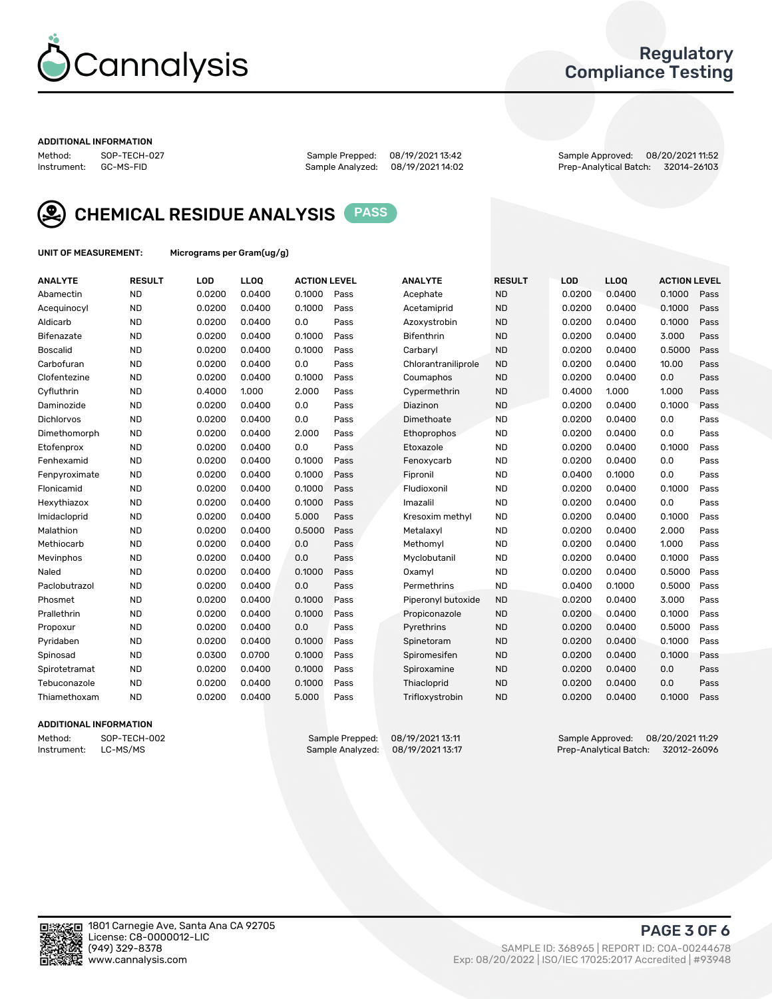

## Regulatory Compliance Testing

#### ADDITIONAL INFORMATION

Sample Analyzed: 08/19/2021 14:02

Method: SOP-TECH-027 Sample Prepped: 08/19/2021 13:42 Sample Approved: 08/20/2021 11:52



CHEMICAL RESIDUE ANALYSIS PASS

UNIT OF MEASUREMENT: Micrograms per Gram(ug/g)

| <b>ANALYTE</b>    | <b>RESULT</b> | LOD    | LLOQ   | <b>ACTION LEVEL</b> |      | <b>ANALYTE</b>      | <b>RESULT</b> | <b>LOD</b> | <b>LLOQ</b> | <b>ACTION LEVEL</b> |      |
|-------------------|---------------|--------|--------|---------------------|------|---------------------|---------------|------------|-------------|---------------------|------|
| Abamectin         | <b>ND</b>     | 0.0200 | 0.0400 | 0.1000              | Pass | Acephate            | <b>ND</b>     | 0.0200     | 0.0400      | 0.1000              | Pass |
| Acequinocyl       | <b>ND</b>     | 0.0200 | 0.0400 | 0.1000              | Pass | Acetamiprid         | <b>ND</b>     | 0.0200     | 0.0400      | 0.1000              | Pass |
| Aldicarb          | <b>ND</b>     | 0.0200 | 0.0400 | 0.0                 | Pass | Azoxystrobin        | <b>ND</b>     | 0.0200     | 0.0400      | 0.1000              | Pass |
| Bifenazate        | <b>ND</b>     | 0.0200 | 0.0400 | 0.1000              | Pass | <b>Bifenthrin</b>   | <b>ND</b>     | 0.0200     | 0.0400      | 3.000               | Pass |
| <b>Boscalid</b>   | <b>ND</b>     | 0.0200 | 0.0400 | 0.1000              | Pass | Carbarvl            | <b>ND</b>     | 0.0200     | 0.0400      | 0.5000              | Pass |
| Carbofuran        | <b>ND</b>     | 0.0200 | 0.0400 | 0.0                 | Pass | Chlorantraniliprole | <b>ND</b>     | 0.0200     | 0.0400      | 10.00               | Pass |
| Clofentezine      | <b>ND</b>     | 0.0200 | 0.0400 | 0.1000              | Pass | Coumaphos           | <b>ND</b>     | 0.0200     | 0.0400      | 0.0                 | Pass |
| Cyfluthrin        | <b>ND</b>     | 0.4000 | 1.000  | 2.000               | Pass | Cypermethrin        | <b>ND</b>     | 0.4000     | 1.000       | 1.000               | Pass |
| Daminozide        | <b>ND</b>     | 0.0200 | 0.0400 | 0.0                 | Pass | Diazinon            | <b>ND</b>     | 0.0200     | 0.0400      | 0.1000              | Pass |
| <b>Dichlorvos</b> | <b>ND</b>     | 0.0200 | 0.0400 | 0.0                 | Pass | Dimethoate          | <b>ND</b>     | 0.0200     | 0.0400      | 0.0                 | Pass |
| Dimethomorph      | <b>ND</b>     | 0.0200 | 0.0400 | 2.000               | Pass | <b>Ethoprophos</b>  | <b>ND</b>     | 0.0200     | 0.0400      | 0.0                 | Pass |
| Etofenprox        | <b>ND</b>     | 0.0200 | 0.0400 | 0.0                 | Pass | Etoxazole           | <b>ND</b>     | 0.0200     | 0.0400      | 0.1000              | Pass |
| Fenhexamid        | <b>ND</b>     | 0.0200 | 0.0400 | 0.1000              | Pass | Fenoxycarb          | <b>ND</b>     | 0.0200     | 0.0400      | 0.0                 | Pass |
| Fenpyroximate     | <b>ND</b>     | 0.0200 | 0.0400 | 0.1000              | Pass | Fipronil            | <b>ND</b>     | 0.0400     | 0.1000      | 0.0                 | Pass |
| Flonicamid        | <b>ND</b>     | 0.0200 | 0.0400 | 0.1000              | Pass | Fludioxonil         | <b>ND</b>     | 0.0200     | 0.0400      | 0.1000              | Pass |
| Hexythiazox       | <b>ND</b>     | 0.0200 | 0.0400 | 0.1000              | Pass | Imazalil            | <b>ND</b>     | 0.0200     | 0.0400      | 0.0                 | Pass |
| Imidacloprid      | <b>ND</b>     | 0.0200 | 0.0400 | 5.000               | Pass | Kresoxim methyl     | <b>ND</b>     | 0.0200     | 0.0400      | 0.1000              | Pass |
| Malathion         | <b>ND</b>     | 0.0200 | 0.0400 | 0.5000              | Pass | Metalaxyl           | <b>ND</b>     | 0.0200     | 0.0400      | 2.000               | Pass |
| Methiocarb        | <b>ND</b>     | 0.0200 | 0.0400 | 0.0                 | Pass | Methomyl            | <b>ND</b>     | 0.0200     | 0.0400      | 1.000               | Pass |
| Mevinphos         | <b>ND</b>     | 0.0200 | 0.0400 | 0.0                 | Pass | Myclobutanil        | <b>ND</b>     | 0.0200     | 0.0400      | 0.1000              | Pass |
| Naled             | <b>ND</b>     | 0.0200 | 0.0400 | 0.1000              | Pass | Oxamyl              | <b>ND</b>     | 0.0200     | 0.0400      | 0.5000              | Pass |
| Paclobutrazol     | <b>ND</b>     | 0.0200 | 0.0400 | 0.0                 | Pass | Permethrins         | <b>ND</b>     | 0.0400     | 0.1000      | 0.5000              | Pass |
| Phosmet           | <b>ND</b>     | 0.0200 | 0.0400 | 0.1000              | Pass | Piperonyl butoxide  | <b>ND</b>     | 0.0200     | 0.0400      | 3.000               | Pass |
| Prallethrin       | <b>ND</b>     | 0.0200 | 0.0400 | 0.1000              | Pass | Propiconazole       | <b>ND</b>     | 0.0200     | 0.0400      | 0.1000              | Pass |
| Propoxur          | <b>ND</b>     | 0.0200 | 0.0400 | 0.0                 | Pass | Pyrethrins          | <b>ND</b>     | 0.0200     | 0.0400      | 0.5000              | Pass |
| Pyridaben         | <b>ND</b>     | 0.0200 | 0.0400 | 0.1000              | Pass | Spinetoram          | <b>ND</b>     | 0.0200     | 0.0400      | 0.1000              | Pass |
| Spinosad          | <b>ND</b>     | 0.0300 | 0.0700 | 0.1000              | Pass | Spiromesifen        | <b>ND</b>     | 0.0200     | 0.0400      | 0.1000              | Pass |
| Spirotetramat     | <b>ND</b>     | 0.0200 | 0.0400 | 0.1000              | Pass | Spiroxamine         | <b>ND</b>     | 0.0200     | 0.0400      | 0.0                 | Pass |
| Tebuconazole      | <b>ND</b>     | 0.0200 | 0.0400 | 0.1000              | Pass | Thiacloprid         | <b>ND</b>     | 0.0200     | 0.0400      | 0.0                 | Pass |
| Thiamethoxam      | <b>ND</b>     | 0.0200 | 0.0400 | 5.000               | Pass | Trifloxystrobin     | <b>ND</b>     | 0.0200     | 0.0400      | 0.1000              | Pass |
|                   |               |        |        |                     |      |                     |               |            |             |                     |      |

### ADDITIONAL INFORMATION

Method: SOP-TECH-002 Sample Prepped: 08/19/2021 13:11 Sample Approved: 08/20/2021 11:29<br>Instrument: LC-MS/MS Sample Analyzed: 08/19/2021 13:17 Prep-Analytical Batch: 32012-26096 Prep-Analytical Batch: 32012-26096

PAGE 3 OF 6

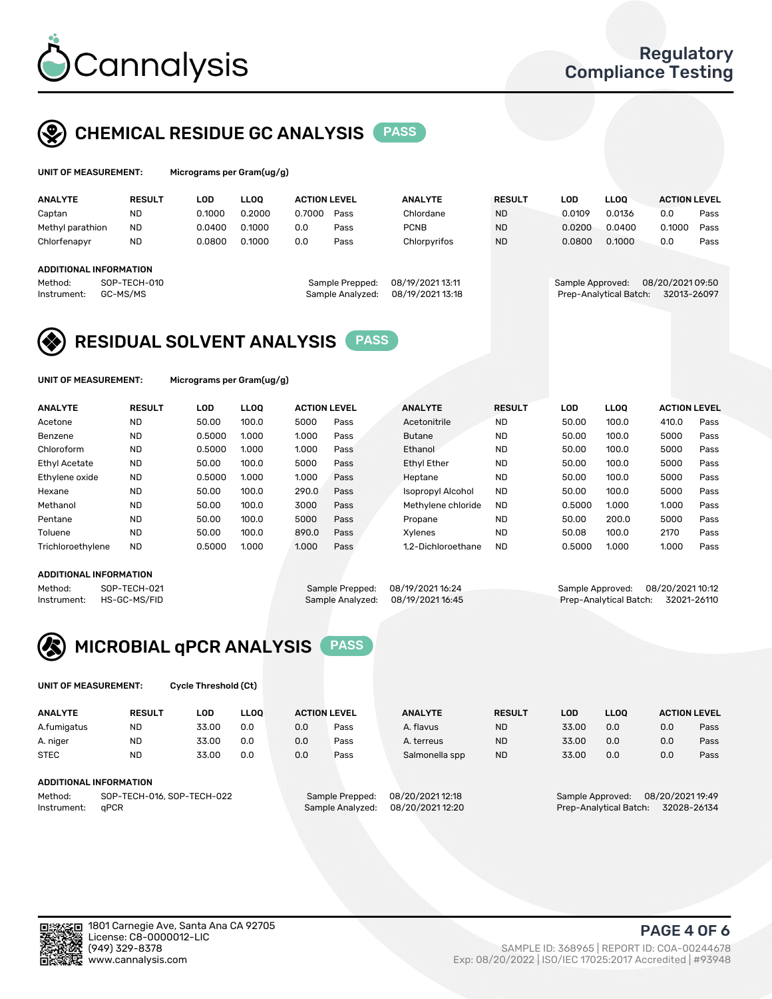

# CHEMICAL RESIDUE GC ANALYSIS PASS

| UNIT OF MEASUREMENT: | Micrograms per 0 |
|----------------------|------------------|
|                      |                  |

Gram(ug/g)

| <b>ANALYTE</b>         | <b>RESULT</b> | LOD    | <b>LLOO</b> | <b>ACTION LEVEL</b> |                  | <b>ANALYTE</b>   | <b>RESULT</b> | LOD              | <b>LLOO</b>            | <b>ACTION LEVEL</b> |      |
|------------------------|---------------|--------|-------------|---------------------|------------------|------------------|---------------|------------------|------------------------|---------------------|------|
| Captan                 | ND            | 0.1000 | 0.2000      | 0.7000              | Pass             | Chlordane        | <b>ND</b>     | 0.0109           | 0.0136                 | 0.0                 | Pass |
| Methyl parathion       | <b>ND</b>     | 0.0400 | 0.1000      | 0.0                 | Pass             | <b>PCNB</b>      | <b>ND</b>     | 0.0200           | 0.0400                 | 0.1000              | Pass |
| Chlorfenapyr           | <b>ND</b>     | 0.0800 | 0.1000      | 0.0                 | Pass             | Chlorpyrifos     | <b>ND</b>     | 0.0800           | 0.1000                 | 0.0                 | Pass |
|                        |               |        |             |                     |                  |                  |               |                  |                        |                     |      |
| ADDITIONAL INFORMATION |               |        |             |                     |                  |                  |               |                  |                        |                     |      |
| Method:                | SOP-TECH-010  |        |             |                     | Sample Prepped:  | 08/19/2021 13:11 |               | Sample Approved: |                        | 08/20/202109:50     |      |
| Instrument:            | GC-MS/MS      |        |             |                     | Sample Analyzed: | 08/19/2021 13:18 |               |                  | Prep-Analytical Batch: | 32013-26097         |      |

# RESIDUAL SOLVENT ANALYSIS PASS

UNIT OF MEASUREMENT: Micrograms per Gram(ug/g)

| <b>ANALYTE</b>       | <b>RESULT</b> | LOD    | <b>LLOO</b> | <b>ACTION LEVEL</b> |      | <b>ANALYTE</b>           | <b>RESULT</b> | LOD    | LLOO  | <b>ACTION LEVEL</b> |      |
|----------------------|---------------|--------|-------------|---------------------|------|--------------------------|---------------|--------|-------|---------------------|------|
| Acetone              | <b>ND</b>     | 50.00  | 100.0       | 5000                | Pass | Acetonitrile             | <b>ND</b>     | 50.00  | 100.0 | 410.0               | Pass |
| Benzene              | <b>ND</b>     | 0.5000 | 1.000       | 1.000               | Pass | <b>Butane</b>            | <b>ND</b>     | 50.00  | 100.0 | 5000                | Pass |
| Chloroform           | <b>ND</b>     | 0.5000 | 1.000       | 1.000               | Pass | Ethanol                  | <b>ND</b>     | 50.00  | 100.0 | 5000                | Pass |
| <b>Ethyl Acetate</b> | <b>ND</b>     | 50.00  | 100.0       | 5000                | Pass | <b>Ethyl Ether</b>       | <b>ND</b>     | 50.00  | 100.0 | 5000                | Pass |
| Ethylene oxide       | <b>ND</b>     | 0.5000 | 1.000       | 1.000               | Pass | Heptane                  | <b>ND</b>     | 50.00  | 100.0 | 5000                | Pass |
| Hexane               | <b>ND</b>     | 50.00  | 100.0       | 290.0               | Pass | <b>Isopropyl Alcohol</b> | <b>ND</b>     | 50.00  | 100.0 | 5000                | Pass |
| Methanol             | <b>ND</b>     | 50.00  | 100.0       | 3000                | Pass | Methylene chloride       | <b>ND</b>     | 0.5000 | 1.000 | 1.000               | Pass |
| Pentane              | <b>ND</b>     | 50.00  | 100.0       | 5000                | Pass | Propane                  | <b>ND</b>     | 50.00  | 200.0 | 5000                | Pass |
| Toluene              | <b>ND</b>     | 50.00  | 100.0       | 890.0               | Pass | Xvlenes                  | <b>ND</b>     | 50.08  | 100.0 | 2170                | Pass |
| Trichloroethylene    | <b>ND</b>     | 0.5000 | 1.000       | 1.000               | Pass | 1.2-Dichloroethane       | <b>ND</b>     | 0.5000 | 1.000 | 1.000               | Pass |

### ADDITIONAL INFORMATION

Method: SOP-TECH-021 Sample Prepped: 08/19/2021 16:24 Sample Approved: 08/20/2021 10:12<br>Sample Analyzed: 08/19/2021 16:45 Prep-Analytical Batch: 32021-26110 Prep-Analytical Batch: 32021-26110



UNIT OF MEASUREMENT: Cycle Threshold (Ct)

| <b>ANALYTE</b>                        | <b>RESULT</b>          | LOD   | <b>LLOO</b> |                 | <b>ACTION LEVEL</b> | <b>ANALYTE</b> | <b>RESULT</b>    | LOD   | <b>LLOO</b>      |     | <b>ACTION LEVEL</b> |
|---------------------------------------|------------------------|-------|-------------|-----------------|---------------------|----------------|------------------|-------|------------------|-----|---------------------|
| A.fumigatus                           | <b>ND</b>              | 33.00 | 0.0         | 0.0             | Pass                | A. flavus      | <b>ND</b>        | 33.00 | 0.0              | 0.0 | Pass                |
| A. niger                              | <b>ND</b>              | 33.00 | 0.0         | 0.0             | Pass                | A. terreus     | <b>ND</b>        | 33.00 | 0.0              | 0.0 | Pass                |
| <b>STEC</b>                           | <b>ND</b>              | 33.00 | 0.0         | 0.0             | Pass                | Salmonella spp | <b>ND</b>        | 33.00 | 0.0              | 0.0 | Pass                |
|                                       | ADDITIONAL INFORMATION |       |             |                 |                     |                |                  |       |                  |     |                     |
| SOP-TECH-016, SOP-TECH-022<br>Method: |                        |       |             | Sample Prepped: | 08/20/2021 12:18    |                | Sample Approved: |       | 08/20/2021 19:49 |     |                     |

Instrument: qPCR Sample Analyzed: 08/20/2021 12:20 Prep-Analytical Batch: 32028-26134

PAGE 4 OF 6

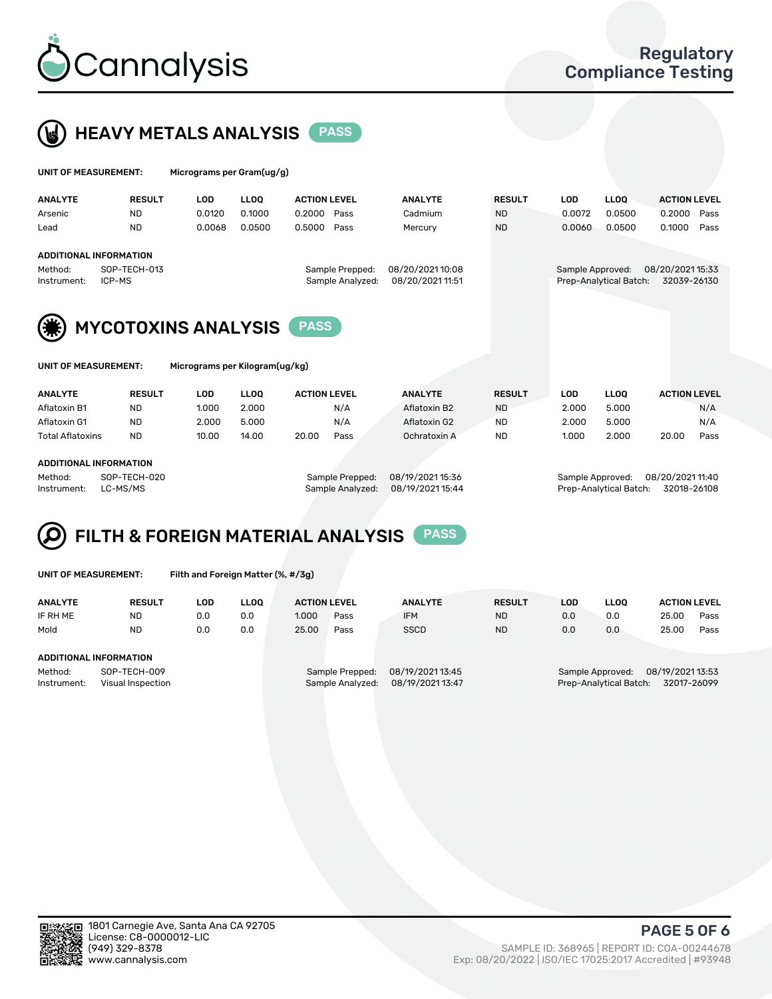



| <b>UNIT OF MEASUREMENT:</b>   |               | Micrograms per Gram(ug/g)                                    |             |                     |                  |               |            |                        |                     |
|-------------------------------|---------------|--------------------------------------------------------------|-------------|---------------------|------------------|---------------|------------|------------------------|---------------------|
| <b>ANALYTE</b>                | <b>RESULT</b> | <b>LOD</b>                                                   | <b>LLOQ</b> | <b>ACTION LEVEL</b> | <b>ANALYTE</b>   | <b>RESULT</b> | <b>LOD</b> | <b>LLOQ</b>            | <b>ACTION LEVEL</b> |
| Arsenic                       | ND.           | 0.0120                                                       | 0.1000      | 0.2000<br>Pass      | Cadmium          | <b>ND</b>     | 0.0072     | 0.0500                 | 0.2000<br>Pass      |
| Lead                          | <b>ND</b>     | 0.0068                                                       | 0.0500      | 0.5000<br>Pass      | Mercury          | <b>ND</b>     | 0.0060     | 0.0500                 | 0.1000<br>Pass      |
| <b>ADDITIONAL INFORMATION</b> |               |                                                              |             |                     |                  |               |            |                        |                     |
| Method:                       | SOP-TECH-013  |                                                              |             | Sample Prepped:     | 08/20/2021 10:08 |               |            | Sample Approved:       | 08/20/2021 15:33    |
| Instrument:                   | ICP-MS        |                                                              |             | Sample Analyzed:    | 08/20/2021 11:51 |               |            | Prep-Analytical Batch: | 32039-26130         |
| UNIT OF MEASUREMENT:          |               | <b>MYCOTOXINS ANALYSIS</b><br>Micrograms per Kilogram(ug/kg) |             | <b>PASS</b>         |                  |               |            |                        |                     |
| <b>ANALYTE</b>                | <b>RESULT</b> | <b>LOD</b>                                                   | <b>LLOO</b> | <b>ACTION LEVEL</b> | <b>ANALYTE</b>   | <b>RESULT</b> | <b>LOD</b> | <b>LLOQ</b>            | <b>ACTION LEVEL</b> |
| Aflatoxin B1                  | ND.           | 1.000                                                        | 2.000       | N/A                 | Aflatoxin B2     | <b>ND</b>     | 2.000      | 5.000                  | N/A                 |
| Aflatoxin G1                  | <b>ND</b>     | 2.000                                                        | 5.000       | N/A                 | Aflatoxin G2     | <b>ND</b>     | 2.000      | 5.000                  | N/A                 |
|                               |               |                                                              |             |                     |                  |               |            |                        |                     |

Total Aflatoxins ND 10.00 14.00 20.00 Pass Ochratoxin A ND 1.000 2.000 20.00 Pass

#### ADDITIONAL INFORMATION

Method: SOP-TECH-020 Sample Prepped: 08/19/2021 15:36 Sample Approved: 08/20/2021 11:40 Instrument: LC-MS/MS Sample Analyzed: 08/19/2021 15:44 Prep-Analytical Batch: 32018-26108

### FILTH & FOREIGN MATERIAL ANALYSIS PASS Q

UNIT OF MEASUREMENT: Filth and Foreign Matter (%, #/3g)

| <b>ANALYTE</b>         | <b>RESULT</b>                     | LOD | <b>LLOO</b> | <b>ACTION LEVEL</b> |                                     | <b>ANALYTE</b>                       | <b>RESULT</b> | LOD | <b>LLOO</b>                                            | <b>ACTION LEVEL</b> |      |
|------------------------|-----------------------------------|-----|-------------|---------------------|-------------------------------------|--------------------------------------|---------------|-----|--------------------------------------------------------|---------------------|------|
| IF RH ME               | <b>ND</b>                         | 0.0 | 0.0         | 1.000               | Pass                                | <b>IFM</b>                           | <b>ND</b>     | 0.0 | 0.0                                                    | 25.00               | Pass |
| Mold                   | <b>ND</b>                         | 0.0 | 0.0         | 25.00               | Pass                                | <b>SSCD</b>                          | <b>ND</b>     | 0.0 | 0.0                                                    | 25.00               | Pass |
| ADDITIONAL INFORMATION |                                   |     |             |                     |                                     |                                      |               |     |                                                        |                     |      |
| Method:<br>Instrument: | SOP-TECH-009<br>Visual Inspection |     |             |                     | Sample Prepped:<br>Sample Analyzed: | 08/19/2021 13:45<br>08/19/2021 13:47 |               |     | Sample Approved:<br>Prep-Analytical Batch: 32017-26099 | 08/19/2021 13:53    |      |



PAGE 5 OF 6